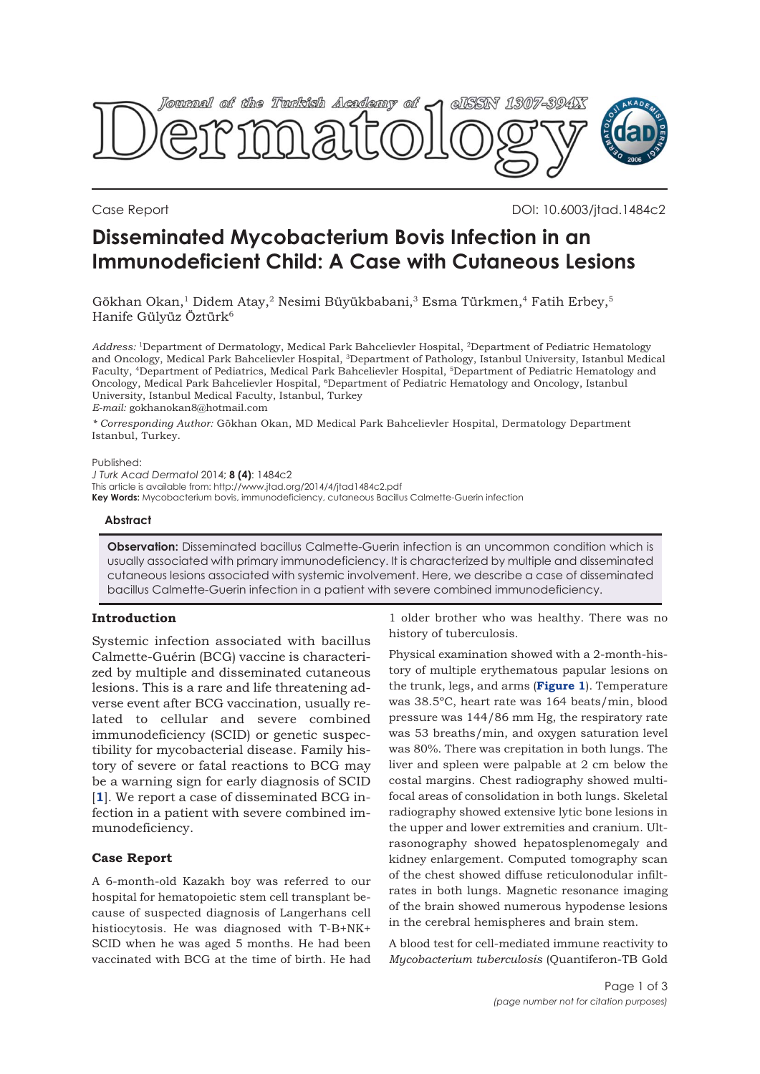

Case Report DOI: 10.6003/jtad.1484c2

# **Disseminated Mycobacterium Bovis Infection in an Immunodeficient Child: A Case with Cutaneous Lesions**

Gökhan Okan,<sup>1</sup> Didem Atay,<sup>2</sup> Nesimi Büyükbabani,<sup>3</sup> Esma Türkmen,<sup>4</sup> Fatih Erbey,<sup>5</sup> Hanife Gülyüz Öztürk<sup>6</sup>

*Address:* 1Department of Dermatology, Medical Park Bahcelievler Hospital, 2Department of Pediatric Hematology and Oncology, Medical Park Bahcelievler Hospital, 3Department of Pathology, Istanbul University, Istanbul Medical Faculty, 4Department of Pediatrics, Medical Park Bahcelievler Hospital, 5Department of Pediatric Hematology and Oncology, Medical Park Bahcelievler Hospital, <sup>6</sup>Department of Pediatric Hematology and Oncology, Istanbul University, Istanbul Medical Faculty, Istanbul, Turkey *E-mail:* gokhanokan8@hotmail.com

*\* Corresponding Author:* Gökhan Okan, MD Medical Park Bahcelievler Hospital, Dermatology Department Istanbul, Turkey.

#### Published:

*J Turk Acad Dermatol* 2014; **8 (4)**: 1484c2 This article is available from: http://www.jtad.org/2014/4/jtad1484c2.pdf

**Key Words:** Mycobacterium bovis, immunodeficiency, cutaneous Bacillus Calmette-Guerin infection

#### **Abstract**

**Observation:** Disseminated bacillus Calmette-Guerin infection is an uncommon condition which is usually associated with primary immunodeficiency. It is characterized by multiple and disseminated cutaneous lesions associated with systemic involvement. Here, we describe a case of disseminated bacillus Calmette-Guerin infection in a patient with severe combined immunodeficiency.

## **Introduction**

Systemic infection associated with bacillus Calmette-Guérin (BCG) vaccine is characterized by multiple and disseminated cutaneous lesions. This is a rare and life threatening adverse event after BCG vaccination, usually related to cellular and severe combined immunodeficiency (SCID) or genetic suspectibility for mycobacterial disease. Family history of severe or fatal reactions to BCG may be a warning sign for early diagnosis of SCID [**[1](#page-2-0)**]. We report a case of disseminated BCG infection in a patient with severe combined immunodeficiency.

## **Case Report**

A 6-month-old Kazakh boy was referred to our hospital for hematopoietic stem cell transplant because of suspected diagnosis of Langerhans cell histiocytosis. He was diagnosed with T-B+NK+ SCID when he was aged 5 months. He had been vaccinated with BCG at the time of birth. He had

1 older brother who was healthy. There was no history of tuberculosis.

Physical examination showed with a 2-month-history of multiple erythematous papular lesions on the trunk, legs, and arms (**[Figure 1](#page-1-0)**). Temperature was 38.5ºC, heart rate was 164 beats/min, blood pressure was 144/86 mm Hg, the respiratory rate was 53 breaths/min, and oxygen saturation level was 80%. There was crepitation in both lungs. The liver and spleen were palpable at 2 cm below the costal margins. Chest radiography showed multifocal areas of consolidation in both lungs. Skeletal radiography showed extensive lytic bone lesions in the upper and lower extremities and cranium. Ultrasonography showed hepatosplenomegaly and kidney enlargement. Computed tomography scan of the chest showed diffuse reticulonodular infiltrates in both lungs. Magnetic resonance imaging of the brain showed numerous hypodense lesions in the cerebral hemispheres and brain stem.

A blood test for cell-mediated immune reactivity to *Mycobacterium tuberculosis* (Quantiferon-TB Gold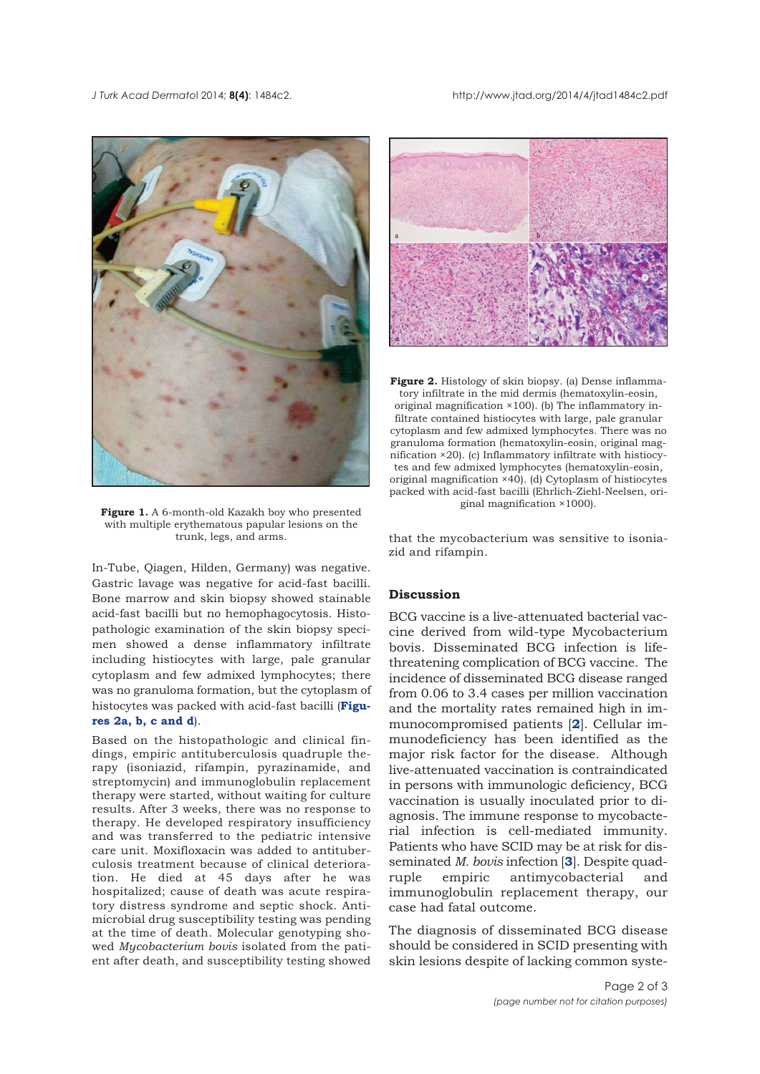<span id="page-1-0"></span>

**Figure 1.** A 6-month-old Kazakh boy who presented with multiple erythematous papular lesions on the trunk, legs, and arms.

In-Tube, Qiagen, Hilden, Germany) was negative. Gastric lavage was negative for acid-fast bacilli. Bone marrow and skin biopsy showed stainable acid-fast bacilli but no hemophagocytosis. Histopathologic examination of the skin biopsy specimen showed a dense inflammatory infiltrate including histiocytes with large, pale granular cytoplasm and few admixed lymphocytes; there was no granuloma formation, but the cytoplasm of histocytes was packed with acid-fast bacilli (**Figures 2a, b, c and d**).

Based on the histopathologic and clinical findings, empiric antituberculosis quadruple therapy (isoniazid, rifampin, pyrazinamide, and streptomycin) and immunoglobulin replacement therapy were started, without waiting for culture results. After 3 weeks, there was no response to therapy. He developed respiratory insufficiency and was transferred to the pediatric intensive care unit. Moxifloxacin was added to antituberculosis treatment because of clinical deterioration. He died at 45 days after he was hospitalized; cause of death was acute respiratory distress syndrome and septic shock. Antimicrobial drug susceptibility testing was pending at the time of death. Molecular genotyping showed *Mycobacterium bovis* isolated from the patient after death, and susceptibility testing showed



**Figure 2.** Histology of skin biopsy. (a) Dense inflammatory infiltrate in the mid dermis (hematoxylin-eosin, original magnification ×100). (b) The inflammatory infiltrate contained histiocytes with large, pale granular cytoplasm and few admixed lymphocytes. There was no granuloma formation (hematoxylin-eosin, original magnification ×20). (c) Inflammatory infiltrate with histiocytes and few admixed lymphocytes (hematoxylin-eosin, original magnification ×40). (d) Cytoplasm of histiocytes packed with acid-fast bacilli (Ehrlich-Ziehl-Neelsen, original magnification ×1000).

that the mycobacterium was sensitive to isoniazid and rifampin.

## **Discussion**

BCG vaccine is a live-attenuated bacterial vaccine derived from wild-type Mycobacterium bovis. Disseminated BCG infection is lifethreatening complication of BCG vaccine. The incidence of disseminated BCG disease ranged from 0.06 to 3.4 cases per million vaccination and the mortality rates remained high in immunocompromised patients [**[2](#page-2-0)**]. Cellular immunodeficiency has been identified as the major risk factor for the disease. Although live-attenuated vaccination is contraindicated in persons with immunologic deficiency, BCG vaccination is usually inoculated prior to diagnosis. The immune response to mycobacterial infection is cell-mediated immunity. Patients who have SCID may be at risk for disseminated *M. bovis* infection [**[3](#page-2-0)**]. Despite quadruple empiric antimycobacterial and immunoglobulin replacement therapy, our case had fatal outcome.

The diagnosis of disseminated BCG disease should be considered in SCID presenting with skin lesions despite of lacking common syste